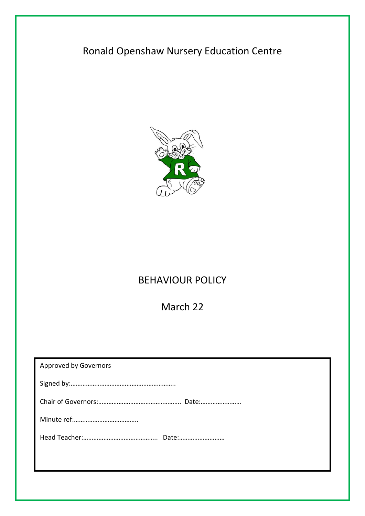# Ronald Openshaw Nursery Education Centre



# BEHAVIOUR POLICY

March 22

| <b>Approved by Governors</b> |
|------------------------------|
|                              |
|                              |
|                              |
|                              |
|                              |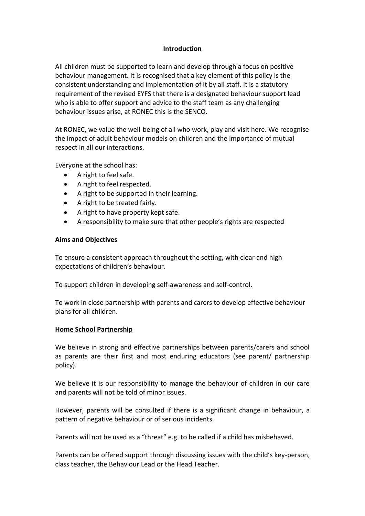## **Introduction**

All children must be supported to learn and develop through a focus on positive behaviour management. It is recognised that a key element of this policy is the consistent understanding and implementation of it by all staff. It is a statutory requirement of the revised EYFS that there is a designated behaviour support lead who is able to offer support and advice to the staff team as any challenging behaviour issues arise, at RONEC this is the SENCO.

At RONEC, we value the well-being of all who work, play and visit here. We recognise the impact of adult behaviour models on children and the importance of mutual respect in all our interactions.

Everyone at the school has:

- A right to feel safe.
- A right to feel respected.
- A right to be supported in their learning.
- A right to be treated fairly.
- A right to have property kept safe.
- A responsibility to make sure that other people's rights are respected

#### **Aims and Objectives**

To ensure a consistent approach throughout the setting, with clear and high expectations of children's behaviour.

To support children in developing self-awareness and self-control.

To work in close partnership with parents and carers to develop effective behaviour plans for all children.

#### **Home School Partnership**

We believe in strong and effective partnerships between parents/carers and school as parents are their first and most enduring educators (see parent/ partnership policy).

We believe it is our responsibility to manage the behaviour of children in our care and parents will not be told of minor issues.

However, parents will be consulted if there is a significant change in behaviour, a pattern of negative behaviour or of serious incidents.

Parents will not be used as a "threat" e.g. to be called if a child has misbehaved.

Parents can be offered support through discussing issues with the child's key-person, class teacher, the Behaviour Lead or the Head Teacher.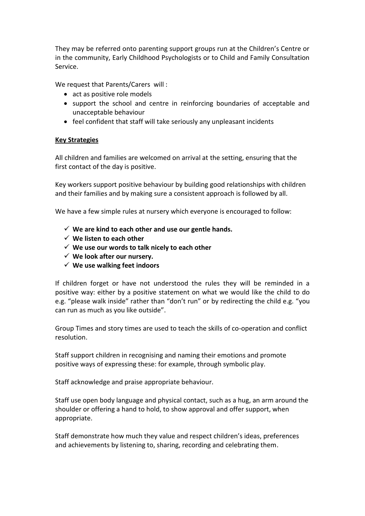They may be referred onto parenting support groups run at the Children's Centre or in the community, Early Childhood Psychologists or to Child and Family Consultation Service.

We request that Parents/Carers will :

- act as positive role models
- support the school and centre in reinforcing boundaries of acceptable and unacceptable behaviour
- feel confident that staff will take seriously any unpleasant incidents

## **Key Strategies**

All children and families are welcomed on arrival at the setting, ensuring that the first contact of the day is positive.

Key workers support positive behaviour by building good relationships with children and their families and by making sure a consistent approach is followed by all.

We have a few simple rules at nursery which everyone is encouraged to follow:

- **We are kind to each other and use our gentle hands.**
- **We listen to each other**
- **We use our words to talk nicely to each other**
- **We look after our nursery.**
- **We use walking feet indoors**

If children forget or have not understood the rules they will be reminded in a positive way: either by a positive statement on what we would like the child to do e.g. "please walk inside" rather than "don't run" or by redirecting the child e.g. "you can run as much as you like outside".

Group Times and story times are used to teach the skills of co-operation and conflict resolution.

Staff support children in recognising and naming their emotions and promote positive ways of expressing these: for example, through symbolic play.

Staff acknowledge and praise appropriate behaviour.

Staff use open body language and physical contact, such as a hug, an arm around the shoulder or offering a hand to hold, to show approval and offer support, when appropriate.

Staff demonstrate how much they value and respect children's ideas, preferences and achievements by listening to, sharing, recording and celebrating them.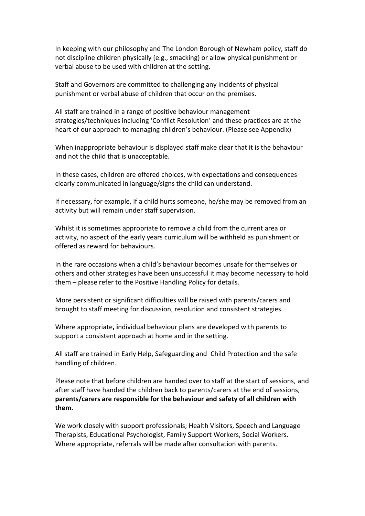In keeping with our philosophy and The London Borough of Newham policy, staff do not discipline children physically (e.g., smacking) or allow physical punishment or verbal abuse to be used with children at the setting.

Staff and Governors are committed to challenging any incidents of physical punishment or verbal abuse of children that occur on the premises.

All staff are trained in a range of positive behaviour management strategies/techniques including 'Conflict Resolution' and these practices are at the heart of our approach to managing children's behaviour. (Please see Appendix)

When inappropriate behaviour is displayed staff make clear that it is the behaviour and not the child that is unacceptable.

In these cases, children are offered choices, with expectations and consequences clearly communicated in language/signs the child can understand.

If necessary, for example, if a child hurts someone, he/she may be removed from an activity but will remain under staff supervision.

Whilst it is sometimes appropriate to remove a child from the current area or activity, no aspect of the early years curriculum will be withheld as punishment or offered as reward for behaviours.

In the rare occasions when a child's behaviour becomes unsafe for themselves or others and other strategies have been unsuccessful it may become necessary to hold them – please refer to the Positive Handling Policy for details.

More persistent or significant difficulties will be raised with parents/carers and brought to staff meeting for discussion, resolution and consistent strategies.

Where appropriate**, i**ndividual behaviour plans are developed with parents to support a consistent approach at home and in the setting.

All staff are trained in Early Help, Safeguarding and Child Protection and the safe handling of children.

Please note that before children are handed over to staff at the start of sessions, and after staff have handed the children back to parents/carers at the end of sessions, **parents/carers are responsible for the behaviour and safety of all children with them.**

We work closely with support professionals; Health Visitors, Speech and Language Therapists, Educational Psychologist, Family Support Workers, Social Workers. Where appropriate, referrals will be made after consultation with parents.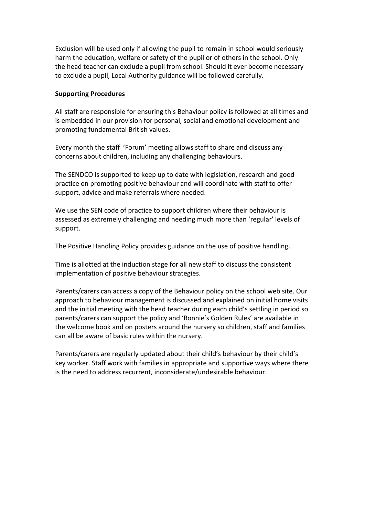Exclusion will be used only if allowing the pupil to remain in school would seriously harm the education, welfare or safety of the pupil or of others in the school. Only the head teacher can exclude a pupil from school. Should it ever become necessary to exclude a pupil, Local Authority guidance will be followed carefully.

#### **Supporting Procedures**

All staff are responsible for ensuring this Behaviour policy is followed at all times and is embedded in our provision for personal, social and emotional development and promoting fundamental British values.

Every month the staff 'Forum' meeting allows staff to share and discuss any concerns about children, including any challenging behaviours.

The SENDCO is supported to keep up to date with legislation, research and good practice on promoting positive behaviour and will coordinate with staff to offer support, advice and make referrals where needed.

We use the SEN code of practice to support children where their behaviour is assessed as extremely challenging and needing much more than 'regular' levels of support.

The Positive Handling Policy provides guidance on the use of positive handling.

Time is allotted at the induction stage for all new staff to discuss the consistent implementation of positive behaviour strategies.

Parents/carers can access a copy of the Behaviour policy on the school web site. Our approach to behaviour management is discussed and explained on initial home visits and the initial meeting with the head teacher during each child's settling in period so parents/carers can support the policy and 'Ronnie's Golden Rules' are available in the welcome book and on posters around the nursery so children, staff and families can all be aware of basic rules within the nursery.

Parents/carers are regularly updated about their child's behaviour by their child's key worker. Staff work with families in appropriate and supportive ways where there is the need to address recurrent, inconsiderate/undesirable behaviour.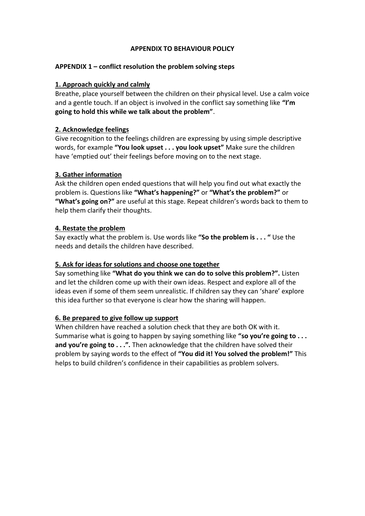### **APPENDIX TO BEHAVIOUR POLICY**

## **APPENDIX 1 – conflict resolution the problem solving steps**

## **1. Approach quickly and calmly**

Breathe, place yourself between the children on their physical level. Use a calm voice and a gentle touch. If an object is involved in the conflict say something like **"I'm going to hold this while we talk about the problem"**.

## **2. Acknowledge feelings**

Give recognition to the feelings children are expressing by using simple descriptive words, for example **"You look upset . . . you look upset"** Make sure the children have 'emptied out' their feelings before moving on to the next stage.

## **3. Gather information**

Ask the children open ended questions that will help you find out what exactly the problem is. Questions like **"What's happening?"** or **"What's the problem?"** or **"What's going on?"** are useful at this stage. Repeat children's words back to them to help them clarify their thoughts.

## **4. Restate the problem**

Say exactly what the problem is. Use words like **"So the problem is . . . "** Use the needs and details the children have described.

#### **5. Ask for ideas for solutions and choose one together**

Say something like **"What do you think we can do to solve this problem?".** Listen and let the children come up with their own ideas. Respect and explore all of the ideas even if some of them seem unrealistic. If children say they can 'share' explore this idea further so that everyone is clear how the sharing will happen.

# **6. Be prepared to give follow up support**

When children have reached a solution check that they are both OK with it. Summarise what is going to happen by saying something like **"so you're going to . . . and you're going to . . .".** Then acknowledge that the children have solved their problem by saying words to the effect of **"You did it! You solved the problem!"** This helps to build children's confidence in their capabilities as problem solvers.